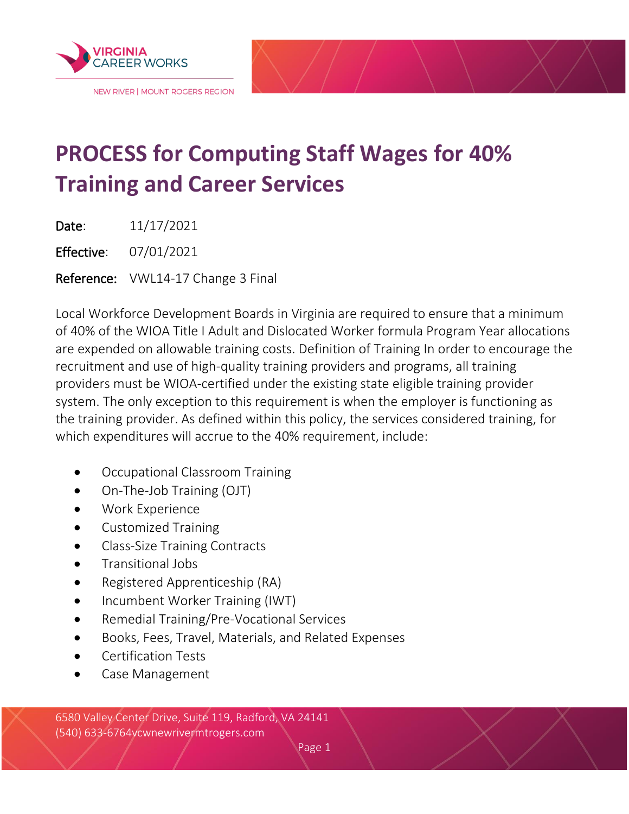

## **PROCESS for Computing Staff Wages for 40% Training and Career Services**

Date: 11/17/2021

Effective: 07/01/2021

Reference: VWL14-17 Change 3 Final

Local Workforce Development Boards in Virginia are required to ensure that a minimum of 40% of the WIOA Title I Adult and Dislocated Worker formula Program Year allocations are expended on allowable training costs. Definition of Training In order to encourage the recruitment and use of high-quality training providers and programs, all training providers must be WIOA-certified under the existing state eligible training provider system. The only exception to this requirement is when the employer is functioning as the training provider. As defined within this policy, the services considered training, for which expenditures will accrue to the 40% requirement, include:

- Occupational Classroom Training
- On-The-Job Training (OJT)
- Work Experience
- Customized Training
- Class-Size Training Contracts
- Transitional Jobs
- Registered Apprenticeship (RA)
- Incumbent Worker Training (IWT)
- Remedial Training/Pre-Vocational Services
- Books, Fees, Travel, Materials, and Related Expenses
- Certification Tests
- Case Management

6580 Valley Center Drive, Suite 119, Radford, VA 24141 (540) 633-6764vcwnewrivermtrogers.com

Page 1